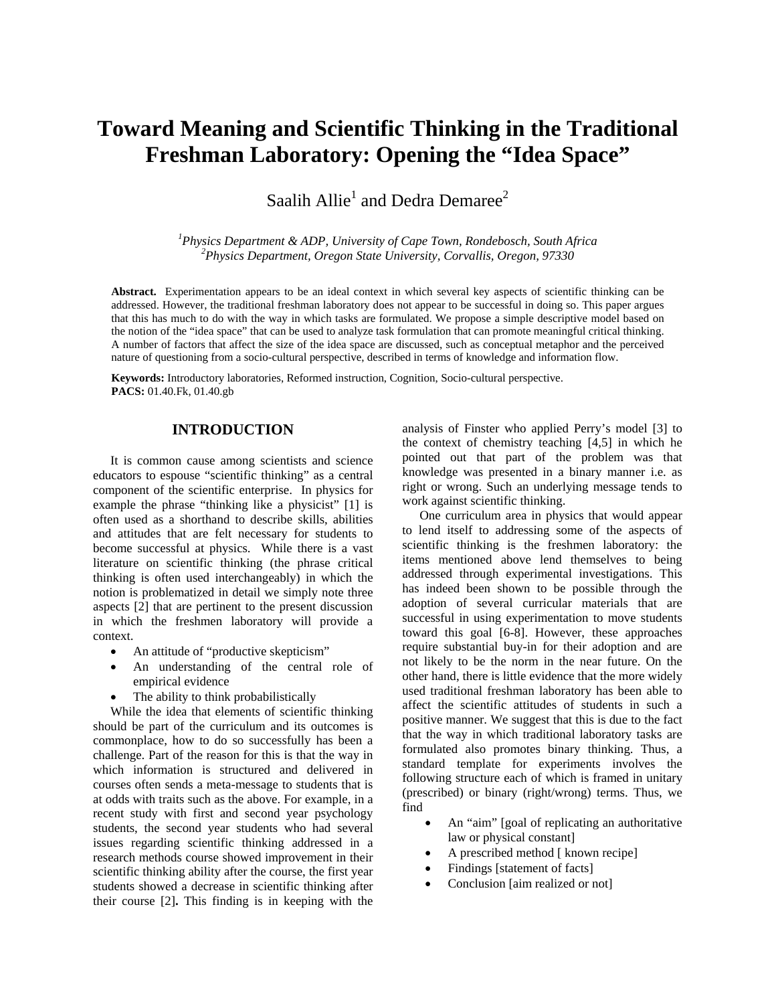# **Toward Meaning and Scientific Thinking in the Traditional Freshman Laboratory: Opening the "Idea Space"**

Saalih Allie $^{\rm l}$  and Dedra Demaree $^{\rm 2}$ 

*1 Physics Department & ADP, University of Cape Town, Rondebosch, South Africa 2 Physics Department, Oregon State University, Corvallis, Oregon, 97330* 

**Abstract.** Experimentation appears to be an ideal context in which several key aspects of scientific thinking can be addressed. However, the traditional freshman laboratory does not appear to be successful in doing so. This paper argues that this has much to do with the way in which tasks are formulated. We propose a simple descriptive model based on the notion of the "idea space" that can be used to analyze task formulation that can promote meaningful critical thinking. A number of factors that affect the size of the idea space are discussed, such as conceptual metaphor and the perceived nature of questioning from a socio-cultural perspective, described in terms of knowledge and information flow.

**Keywords:** Introductory laboratories, Reformed instruction, Cognition, Socio-cultural perspective. **PACS:** 01.40.Fk, 01.40.gb

# **INTRODUCTION**

It is common cause among scientists and science educators to espouse "scientific thinking" as a central component of the scientific enterprise. In physics for example the phrase "thinking like a physicist" [1] is often used as a shorthand to describe skills, abilities and attitudes that are felt necessary for students to become successful at physics. While there is a vast literature on scientific thinking (the phrase critical thinking is often used interchangeably) in which the notion is problematized in detail we simply note three aspects [2] that are pertinent to the present discussion in which the freshmen laboratory will provide a context.

- An attitude of "productive skepticism"
- An understanding of the central role of empirical evidence
- The ability to think probabilistically

While the idea that elements of scientific thinking should be part of the curriculum and its outcomes is commonplace, how to do so successfully has been a challenge. Part of the reason for this is that the way in which information is structured and delivered in courses often sends a meta-message to students that is at odds with traits such as the above. For example, in a recent study with first and second year psychology students, the second year students who had several issues regarding scientific thinking addressed in a research methods course showed improvement in their scientific thinking ability after the course, the first year students showed a decrease in scientific thinking after their course [2]**.** This finding is in keeping with the analysis of Finster who applied Perry's model [3] to the context of chemistry teaching [4,5] in which he pointed out that part of the problem was that knowledge was presented in a binary manner i.e. as right or wrong. Such an underlying message tends to work against scientific thinking.

One curriculum area in physics that would appear to lend itself to addressing some of the aspects of scientific thinking is the freshmen laboratory: the items mentioned above lend themselves to being addressed through experimental investigations. This has indeed been shown to be possible through the adoption of several curricular materials that are successful in using experimentation to move students toward this goal [6-8]. However, these approaches require substantial buy-in for their adoption and are not likely to be the norm in the near future. On the other hand, there is little evidence that the more widely used traditional freshman laboratory has been able to affect the scientific attitudes of students in such a positive manner. We suggest that this is due to the fact that the way in which traditional laboratory tasks are formulated also promotes binary thinking. Thus, a standard template for experiments involves the following structure each of which is framed in unitary (prescribed) or binary (right/wrong) terms. Thus, we find

- An "aim" [goal of replicating an authoritative law or physical constant]
- $\bullet$  A prescribed method [known recipe]
- Findings [statement of facts]
- Conclusion [aim realized or not]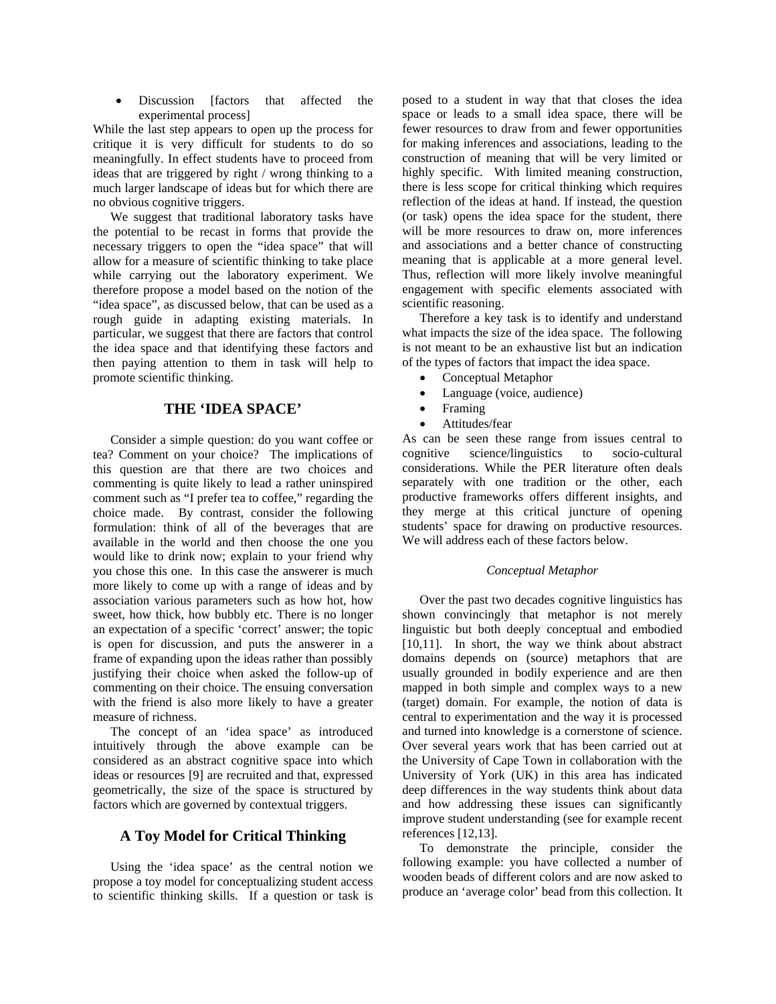Discussion [factors that affected the experimental process]

While the last step appears to open up the process for critique it is very difficult for students to do so meaningfully. In effect students have to proceed from ideas that are triggered by right / wrong thinking to a much larger landscape of ideas but for which there are no obvious cognitive triggers.

We suggest that traditional laboratory tasks have the potential to be recast in forms that provide the necessary triggers to open the "idea space" that will allow for a measure of scientific thinking to take place while carrying out the laboratory experiment. We therefore propose a model based on the notion of the "idea space", as discussed below, that can be used as a rough guide in adapting existing materials. In particular, we suggest that there are factors that control the idea space and that identifying these factors and then paying attention to them in task will help to promote scientific thinking.

## **THE 'IDEA SPACE'**

Consider a simple question: do you want coffee or tea? Comment on your choice? The implications of this question are that there are two choices and commenting is quite likely to lead a rather uninspired comment such as "I prefer tea to coffee," regarding the choice made. By contrast, consider the following formulation: think of all of the beverages that are available in the world and then choose the one you would like to drink now; explain to your friend why you chose this one. In this case the answerer is much more likely to come up with a range of ideas and by association various parameters such as how hot, how sweet, how thick, how bubbly etc. There is no longer an expectation of a specific 'correct' answer; the topic is open for discussion, and puts the answerer in a frame of expanding upon the ideas rather than possibly justifying their choice when asked the follow-up of commenting on their choice. The ensuing conversation with the friend is also more likely to have a greater measure of richness.

The concept of an 'idea space' as introduced intuitively through the above example can be considered as an abstract cognitive space into which ideas or resources [9] are recruited and that, expressed geometrically, the size of the space is structured by factors which are governed by contextual triggers.

# **A Toy Model for Critical Thinking**

Using the 'idea space' as the central notion we propose a toy model for conceptualizing student access to scientific thinking skills. If a question or task is posed to a student in way that that closes the idea space or leads to a small idea space, there will be fewer resources to draw from and fewer opportunities for making inferences and associations, leading to the construction of meaning that will be very limited or highly specific. With limited meaning construction, there is less scope for critical thinking which requires reflection of the ideas at hand. If instead, the question (or task) opens the idea space for the student, there will be more resources to draw on, more inferences and associations and a better chance of constructing meaning that is applicable at a more general level. Thus, reflection will more likely involve meaningful engagement with specific elements associated with scientific reasoning.

Therefore a key task is to identify and understand what impacts the size of the idea space. The following is not meant to be an exhaustive list but an indication of the types of factors that impact the idea space.

- Conceptual Metaphor
- Language (voice, audience)
- Framing
- Attitudes/fear

As can be seen these range from issues central to cognitive science/linguistics to socio-cultural considerations. While the PER literature often deals separately with one tradition or the other, each productive frameworks offers different insights, and they merge at this critical juncture of opening students' space for drawing on productive resources. We will address each of these factors below.

#### *Conceptual Metaphor*

Over the past two decades cognitive linguistics has shown convincingly that metaphor is not merely linguistic but both deeply conceptual and embodied [10,11]. In short, the way we think about abstract domains depends on (source) metaphors that are usually grounded in bodily experience and are then mapped in both simple and complex ways to a new (target) domain. For example, the notion of data is central to experimentation and the way it is processed and turned into knowledge is a cornerstone of science. Over several years work that has been carried out at the University of Cape Town in collaboration with the University of York (UK) in this area has indicated deep differences in the way students think about data and how addressing these issues can significantly improve student understanding (see for example recent references [12,13].

To demonstrate the principle, consider the following example: you have collected a number of wooden beads of different colors and are now asked to produce an 'average color' bead from this collection. It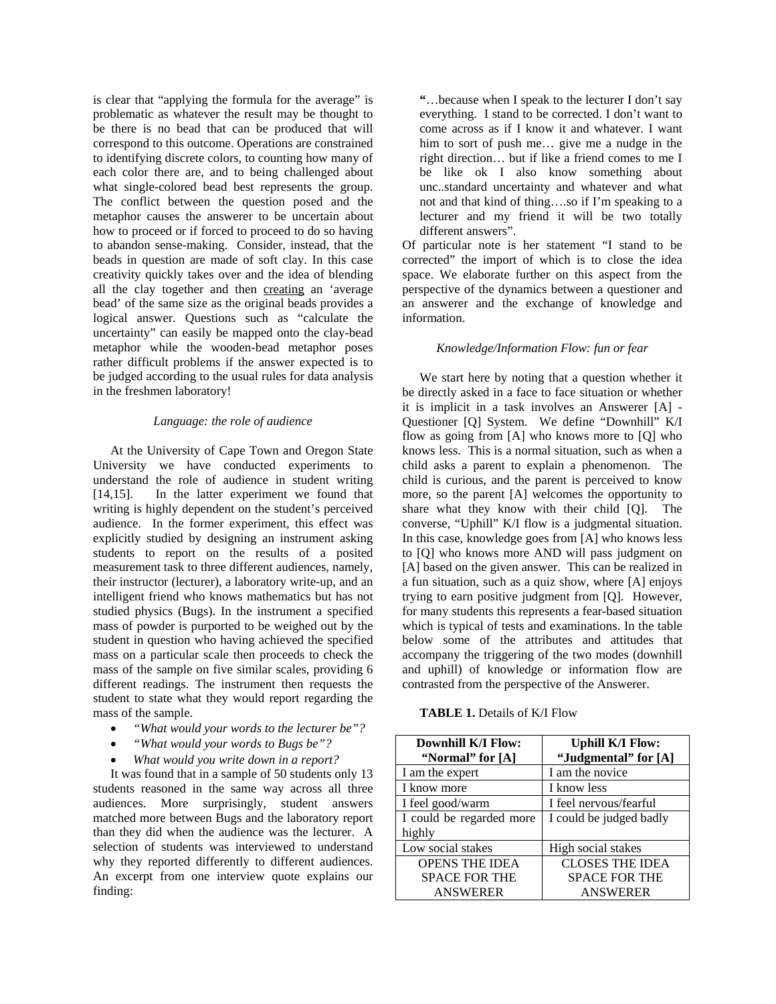is clear that "applying the formula for the average" is problematic as whatever the result may be thought to be there is no bead that can be produced that will correspond to this outcome. Operations are constrained to identifying discrete colors, to counting how many of each color there are, and to being challenged about what single-colored bead best represents the group. The conflict between the question posed and the metaphor causes the answerer to be uncertain about how to proceed or if forced to proceed to do so having to abandon sense-making. Consider, instead, that the beads in question are made of soft clay. In this case creativity quickly takes over and the idea of blending all the clay together and then creating an 'average bead' of the same size as the original beads provides a logical answer. Questions such as "calculate the uncertainty" can easily be mapped onto the clay-bead metaphor while the wooden-bead metaphor poses rather difficult problems if the answer expected is to be judged according to the usual rules for data analysis in the freshmen laboratory!

#### *Language: the role of audience*

At the University of Cape Town and Oregon State University we have conducted experiments to understand the role of audience in student writing [14,15]. In the latter experiment we found that writing is highly dependent on the student's perceived audience. In the former experiment, this effect was explicitly studied by designing an instrument asking students to report on the results of a posited measurement task to three different audiences, namely, their instructor (lecturer), a laboratory write-up, and an intelligent friend who knows mathematics but has not studied physics (Bugs). In the instrument a specified mass of powder is purported to be weighed out by the student in question who having achieved the specified mass on a particular scale then proceeds to check the mass of the sample on five similar scales, providing 6 different readings. The instrument then requests the student to state what they would report regarding the mass of the sample.

- *"What would your words to the lecturer be"?*
- *"What would your words to Bugs be"?*
- *What would you write down in a report?*

It was found that in a sample of 50 students only 13 students reasoned in the same way across all three audiences. More surprisingly, student answers matched more between Bugs and the laboratory report than they did when the audience was the lecturer. A selection of students was interviewed to understand why they reported differently to different audiences. An excerpt from one interview quote explains our finding:

**"**…because when I speak to the lecturer I don't say everything. I stand to be corrected. I don't want to come across as if I know it and whatever. I want him to sort of push me… give me a nudge in the right direction… but if like a friend comes to me I be like ok I also know something about unc..standard uncertainty and whatever and what not and that kind of thing….so if I'm speaking to a lecturer and my friend it will be two totally different answers".

Of particular note is her statement "I stand to be corrected" the import of which is to close the idea space. We elaborate further on this aspect from the perspective of the dynamics between a questioner and an answerer and the exchange of knowledge and information.

## *Knowledge/Information Flow: fun or fear*

We start here by noting that a question whether it be directly asked in a face to face situation or whether it is implicit in a task involves an Answerer [A] - Questioner [Q] System. We define "Downhill" K/I flow as going from [A] who knows more to [Q] who knows less. This is a normal situation, such as when a child asks a parent to explain a phenomenon. The child is curious, and the parent is perceived to know more, so the parent [A] welcomes the opportunity to share what they know with their child [Q]. The converse, "Uphill" K/I flow is a judgmental situation. In this case, knowledge goes from [A] who knows less to [Q] who knows more AND will pass judgment on [A] based on the given answer. This can be realized in a fun situation, such as a quiz show, where [A] enjoys trying to earn positive judgment from [Q]. However, for many students this represents a fear-based situation which is typical of tests and examinations. In the table below some of the attributes and attitudes that accompany the triggering of the two modes (downhill and uphill) of knowledge or information flow are contrasted from the perspective of the Answerer.

**TABLE 1.** Details of K/I Flow

| <b>Downhill K/I Flow:</b> | <b>Uphill K/I Flow:</b> |
|---------------------------|-------------------------|
| "Normal" for [A]          | "Judgmental" for [A]    |
| I am the expert           | I am the novice         |
| I know more               | I know less             |
| I feel good/warm          | I feel nervous/fearful  |
| I could be regarded more  | I could be judged badly |
| highly                    |                         |
| Low social stakes         | High social stakes      |
| <b>OPENS THE IDEA</b>     | <b>CLOSES THE IDEA</b>  |
| <b>SPACE FOR THE</b>      | <b>SPACE FOR THE</b>    |
| ANSWERER                  | <b>ANSWERER</b>         |